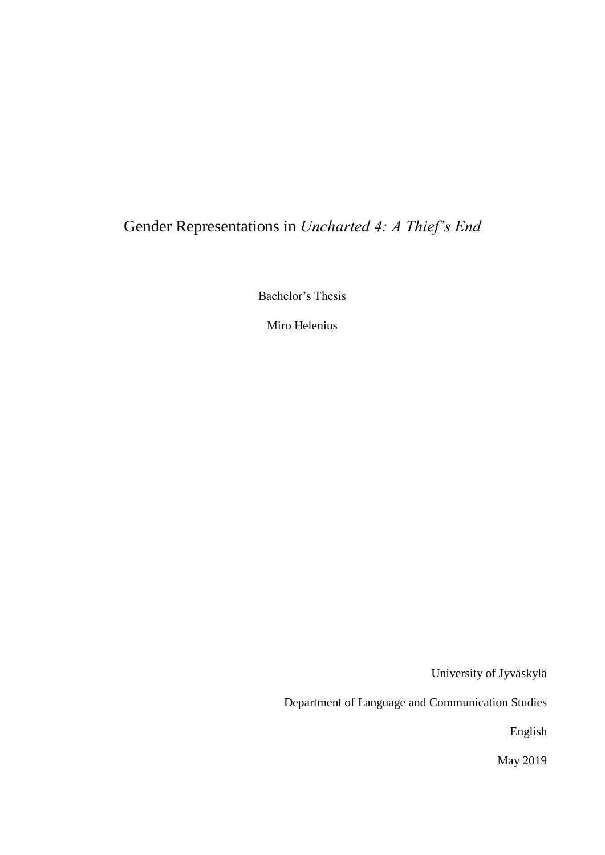# Gender Representations in *Uncharted 4: A Thief's End*

Bachelor's Thesis

Miro Helenius

University of Jyväskylä

Department of Language and Communication Studies

English

May 2019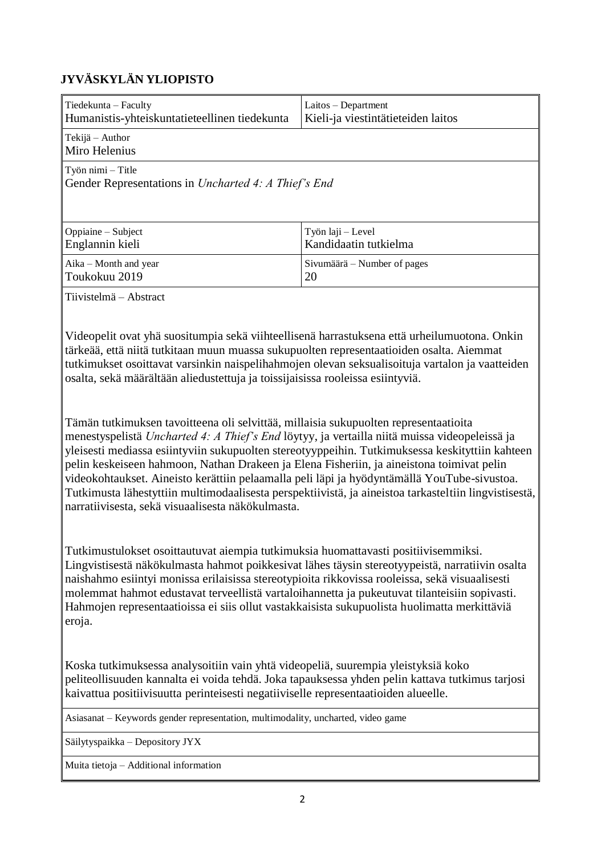# **JYVÄSKYLÄN YLIOPISTO**

| Tiedekunta - Faculty<br>Humanistis-yhteiskuntatieteellinen tiedekunta                                                                                                                                                                                                                                                                                                                                                                                                                                                                                                                                                                              | Laitos - Department<br>Kieli-ja viestintätieteiden laitos |  |
|----------------------------------------------------------------------------------------------------------------------------------------------------------------------------------------------------------------------------------------------------------------------------------------------------------------------------------------------------------------------------------------------------------------------------------------------------------------------------------------------------------------------------------------------------------------------------------------------------------------------------------------------------|-----------------------------------------------------------|--|
| Tekijä - Author<br>Miro Helenius                                                                                                                                                                                                                                                                                                                                                                                                                                                                                                                                                                                                                   |                                                           |  |
| Työn nimi - Title<br>Gender Representations in Uncharted 4: A Thief's End                                                                                                                                                                                                                                                                                                                                                                                                                                                                                                                                                                          |                                                           |  |
| Oppiaine - Subject<br>Englannin kieli                                                                                                                                                                                                                                                                                                                                                                                                                                                                                                                                                                                                              | Työn laji – Level<br>Kandidaatin tutkielma                |  |
| Aika - Month and year<br>Toukokuu 2019                                                                                                                                                                                                                                                                                                                                                                                                                                                                                                                                                                                                             | Sivumäärä – Number of pages<br>20                         |  |
| Tiivistelmä – Abstract                                                                                                                                                                                                                                                                                                                                                                                                                                                                                                                                                                                                                             |                                                           |  |
| Videopelit ovat yhä suositumpia sekä viihteellisenä harrastuksena että urheilumuotona. Onkin<br>tärkeää, että niitä tutkitaan muun muassa sukupuolten representaatioiden osalta. Aiemmat<br>tutkimukset osoittavat varsinkin naispelihahmojen olevan seksualisoituja vartalon ja vaatteiden<br>osalta, sekä määrältään aliedustettuja ja toissijaisissa rooleissa esiintyviä.                                                                                                                                                                                                                                                                      |                                                           |  |
| Tämän tutkimuksen tavoitteena oli selvittää, millaisia sukupuolten representaatioita<br>menestyspelistä Uncharted 4: A Thief's End löytyy, ja vertailla niitä muissa videopeleissä ja<br>yleisesti mediassa esiintyviin sukupuolten stereotyyppeihin. Tutkimuksessa keskityttiin kahteen<br>pelin keskeiseen hahmoon, Nathan Drakeen ja Elena Fisheriin, ja aineistona toimivat pelin<br>videokohtaukset. Aineisto kerättiin pelaamalla peli läpi ja hyödyntämällä YouTube-sivustoa.<br>Tutkimusta lähestyttiin multimodaalisesta perspektiivistä, ja aineistoa tarkasteltiin lingvistisestä,<br>narratiivisesta, sekä visuaalisesta näkökulmasta. |                                                           |  |
| Tutkimustulokset osoittautuvat aiempia tutkimuksia huomattavasti positiivisemmiksi.<br>Lingvistisestä näkökulmasta hahmot poikkesivat lähes täysin stereotyypeistä, narratiivin osalta<br>naishahmo esiintyi monissa erilaisissa stereotypioita rikkovissa rooleissa, sekä visuaalisesti<br>molemmat hahmot edustavat terveellistä vartaloihannetta ja pukeutuvat tilanteisiin sopivasti.<br>Hahmojen representaatioissa ei siis ollut vastakkaisista sukupuolista huolimatta merkittäviä<br>eroja.                                                                                                                                                |                                                           |  |
| Koska tutkimuksessa analysoitiin vain yhtä videopeliä, suurempia yleistyksiä koko<br>peliteollisuuden kannalta ei voida tehdä. Joka tapauksessa yhden pelin kattava tutkimus tarjosi<br>kaivattua positiivisuutta perinteisesti negatiiviselle representaatioiden alueelle.                                                                                                                                                                                                                                                                                                                                                                        |                                                           |  |
| Asiasanat - Keywords gender representation, multimodality, uncharted, video game                                                                                                                                                                                                                                                                                                                                                                                                                                                                                                                                                                   |                                                           |  |
| Säilytyspaikka - Depository JYX                                                                                                                                                                                                                                                                                                                                                                                                                                                                                                                                                                                                                    |                                                           |  |
| Muita tietoja - Additional information                                                                                                                                                                                                                                                                                                                                                                                                                                                                                                                                                                                                             |                                                           |  |
|                                                                                                                                                                                                                                                                                                                                                                                                                                                                                                                                                                                                                                                    |                                                           |  |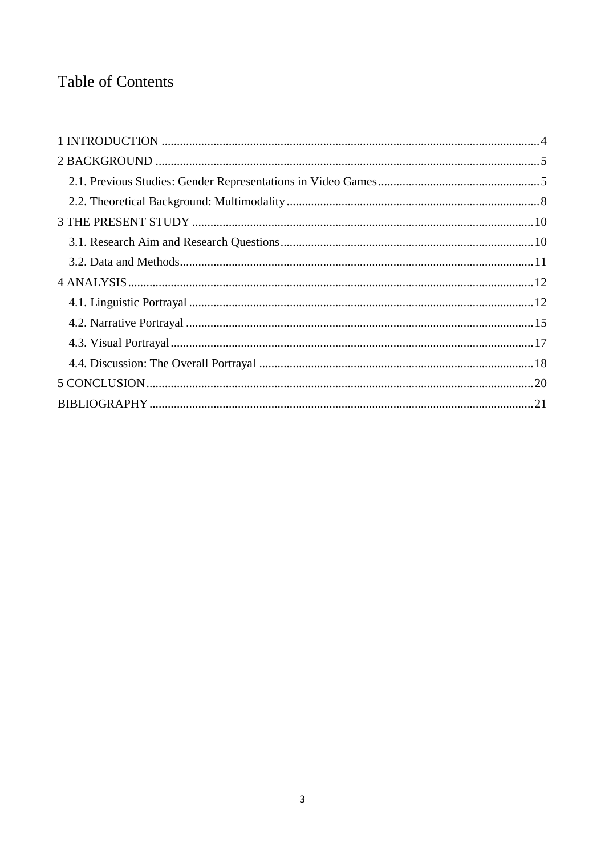# **Table of Contents**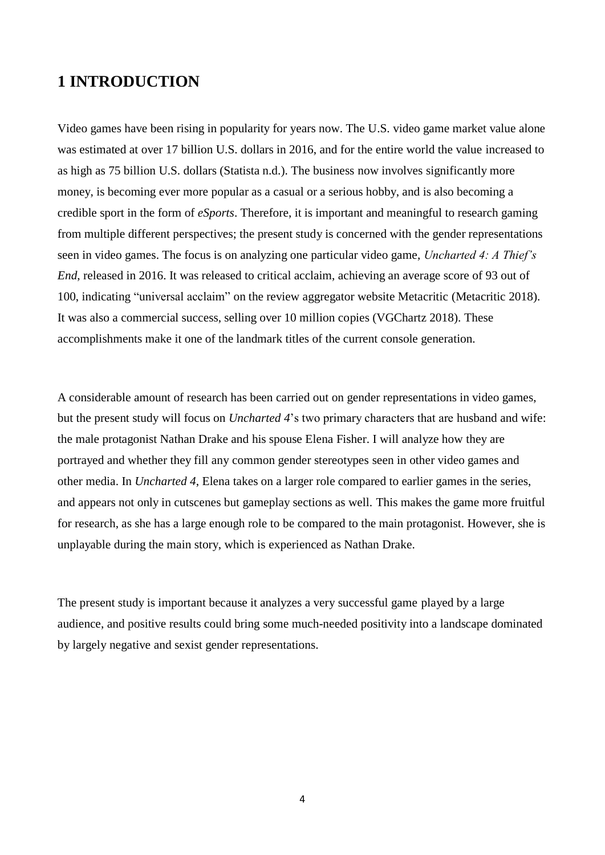# <span id="page-3-0"></span>**1 INTRODUCTION**

Video games have been rising in popularity for years now. The U.S. video game market value alone was estimated at over 17 billion U.S. dollars in 2016, and for the entire world the value increased to as high as 75 billion U.S. dollars (Statista n.d.). The business now involves significantly more money, is becoming ever more popular as a casual or a serious hobby, and is also becoming a credible sport in the form of *eSports*. Therefore, it is important and meaningful to research gaming from multiple different perspectives; the present study is concerned with the gender representations seen in video games. The focus is on analyzing one particular video game, *Uncharted 4: A Thief's End*, released in 2016. It was released to critical acclaim, achieving an average score of 93 out of 100, indicating "universal acclaim" on the review aggregator website Metacritic (Metacritic 2018). It was also a commercial success, selling over 10 million copies (VGChartz 2018). These accomplishments make it one of the landmark titles of the current console generation.

A considerable amount of research has been carried out on gender representations in video games, but the present study will focus on *Uncharted 4*'s two primary characters that are husband and wife: the male protagonist Nathan Drake and his spouse Elena Fisher. I will analyze how they are portrayed and whether they fill any common gender stereotypes seen in other video games and other media. In *Uncharted 4*, Elena takes on a larger role compared to earlier games in the series, and appears not only in cutscenes but gameplay sections as well. This makes the game more fruitful for research, as she has a large enough role to be compared to the main protagonist. However, she is unplayable during the main story, which is experienced as Nathan Drake.

The present study is important because it analyzes a very successful game played by a large audience, and positive results could bring some much-needed positivity into a landscape dominated by largely negative and sexist gender representations.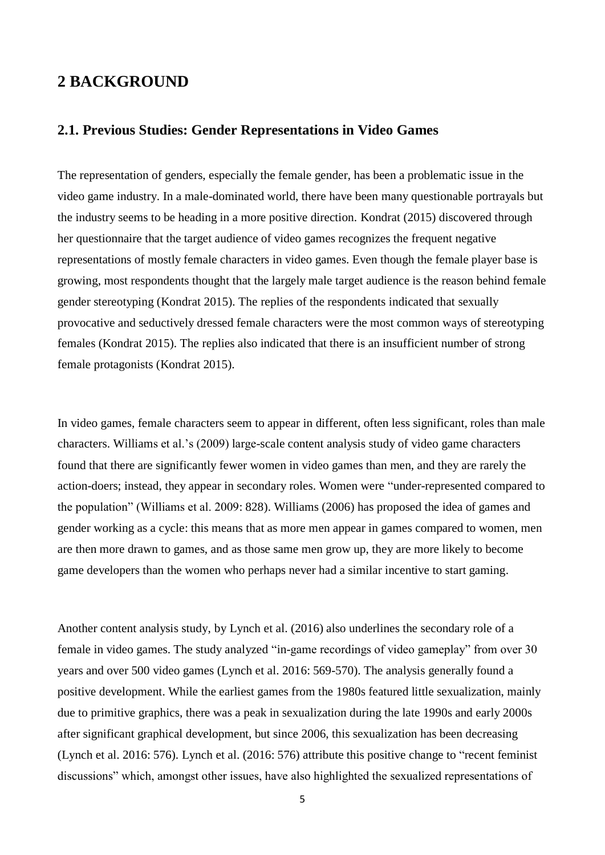## <span id="page-4-0"></span>**2 BACKGROUND**

#### <span id="page-4-1"></span>**2.1. Previous Studies: Gender Representations in Video Games**

The representation of genders, especially the female gender, has been a problematic issue in the video game industry. In a male-dominated world, there have been many questionable portrayals but the industry seems to be heading in a more positive direction. Kondrat (2015) discovered through her questionnaire that the target audience of video games recognizes the frequent negative representations of mostly female characters in video games. Even though the female player base is growing, most respondents thought that the largely male target audience is the reason behind female gender stereotyping (Kondrat 2015). The replies of the respondents indicated that sexually provocative and seductively dressed female characters were the most common ways of stereotyping females (Kondrat 2015). The replies also indicated that there is an insufficient number of strong female protagonists (Kondrat 2015).

In video games, female characters seem to appear in different, often less significant, roles than male characters. Williams et al.'s (2009) large-scale content analysis study of video game characters found that there are significantly fewer women in video games than men, and they are rarely the action-doers; instead, they appear in secondary roles. Women were "under-represented compared to the population" (Williams et al. 2009: 828). Williams (2006) has proposed the idea of games and gender working as a cycle: this means that as more men appear in games compared to women, men are then more drawn to games, and as those same men grow up, they are more likely to become game developers than the women who perhaps never had a similar incentive to start gaming.

Another content analysis study, by Lynch et al. (2016) also underlines the secondary role of a female in video games. The study analyzed "in-game recordings of video gameplay" from over 30 years and over 500 video games (Lynch et al. 2016: 569-570). The analysis generally found a positive development. While the earliest games from the 1980s featured little sexualization, mainly due to primitive graphics, there was a peak in sexualization during the late 1990s and early 2000s after significant graphical development, but since 2006, this sexualization has been decreasing (Lynch et al. 2016: 576). Lynch et al. (2016: 576) attribute this positive change to "recent feminist discussions" which, amongst other issues, have also highlighted the sexualized representations of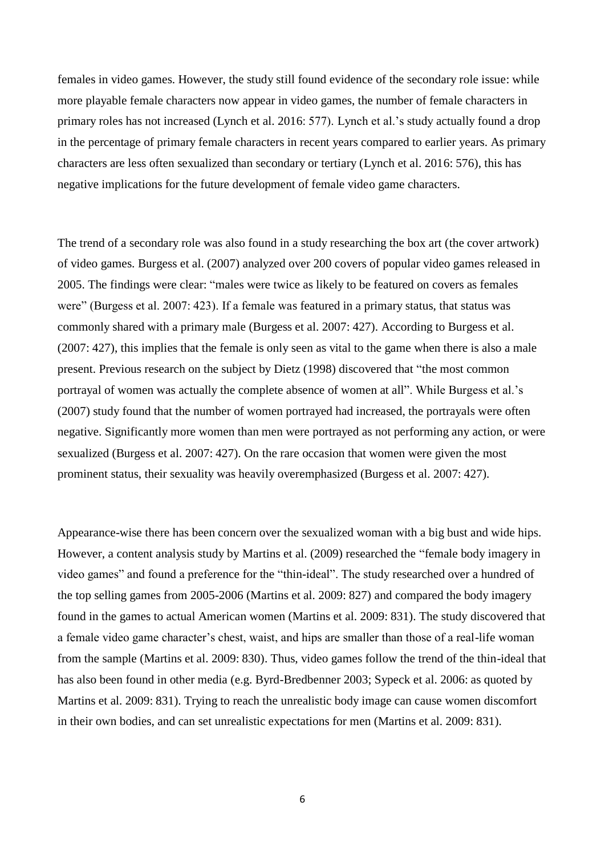females in video games. However, the study still found evidence of the secondary role issue: while more playable female characters now appear in video games, the number of female characters in primary roles has not increased (Lynch et al. 2016: 577). Lynch et al.'s study actually found a drop in the percentage of primary female characters in recent years compared to earlier years. As primary characters are less often sexualized than secondary or tertiary (Lynch et al. 2016: 576), this has negative implications for the future development of female video game characters.

The trend of a secondary role was also found in a study researching the box art (the cover artwork) of video games. Burgess et al. (2007) analyzed over 200 covers of popular video games released in 2005. The findings were clear: "males were twice as likely to be featured on covers as females were" (Burgess et al. 2007: 423). If a female was featured in a primary status, that status was commonly shared with a primary male (Burgess et al. 2007: 427). According to Burgess et al. (2007: 427), this implies that the female is only seen as vital to the game when there is also a male present. Previous research on the subject by Dietz (1998) discovered that "the most common portrayal of women was actually the complete absence of women at all". While Burgess et al.'s (2007) study found that the number of women portrayed had increased, the portrayals were often negative. Significantly more women than men were portrayed as not performing any action, or were sexualized (Burgess et al. 2007: 427). On the rare occasion that women were given the most prominent status, their sexuality was heavily overemphasized (Burgess et al. 2007: 427).

Appearance-wise there has been concern over the sexualized woman with a big bust and wide hips. However, a content analysis study by Martins et al. (2009) researched the "female body imagery in video games" and found a preference for the "thin-ideal". The study researched over a hundred of the top selling games from 2005-2006 (Martins et al. 2009: 827) and compared the body imagery found in the games to actual American women (Martins et al. 2009: 831). The study discovered that a female video game character's chest, waist, and hips are smaller than those of a real-life woman from the sample (Martins et al. 2009: 830). Thus, video games follow the trend of the thin-ideal that has also been found in other media (e.g. Byrd-Bredbenner 2003; Sypeck et al. 2006: as quoted by Martins et al. 2009: 831). Trying to reach the unrealistic body image can cause women discomfort in their own bodies, and can set unrealistic expectations for men (Martins et al. 2009: 831).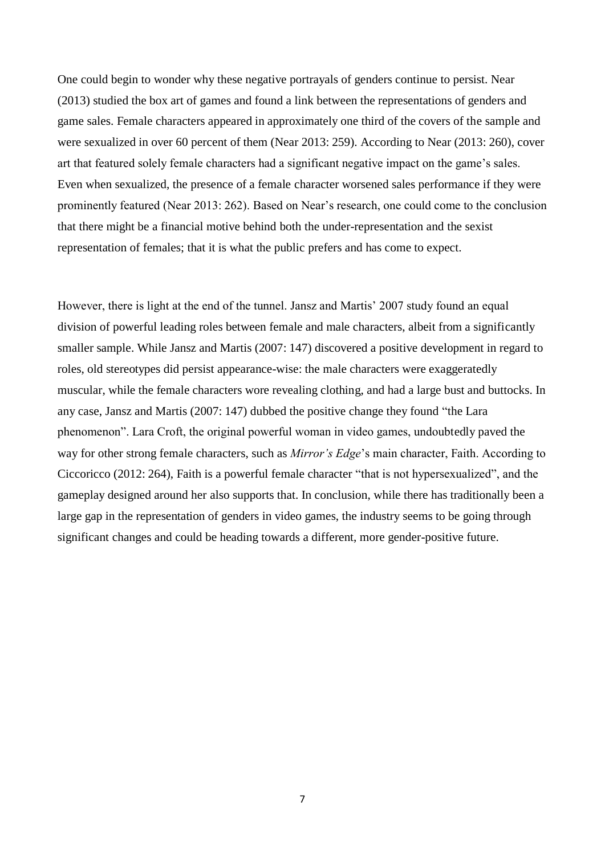One could begin to wonder why these negative portrayals of genders continue to persist. Near (2013) studied the box art of games and found a link between the representations of genders and game sales. Female characters appeared in approximately one third of the covers of the sample and were sexualized in over 60 percent of them (Near 2013: 259). According to Near (2013: 260), cover art that featured solely female characters had a significant negative impact on the game's sales. Even when sexualized, the presence of a female character worsened sales performance if they were prominently featured (Near 2013: 262). Based on Near's research, one could come to the conclusion that there might be a financial motive behind both the under-representation and the sexist representation of females; that it is what the public prefers and has come to expect.

However, there is light at the end of the tunnel. Jansz and Martis' 2007 study found an equal division of powerful leading roles between female and male characters, albeit from a significantly smaller sample. While Jansz and Martis (2007: 147) discovered a positive development in regard to roles, old stereotypes did persist appearance-wise: the male characters were exaggeratedly muscular, while the female characters wore revealing clothing, and had a large bust and buttocks. In any case, Jansz and Martis (2007: 147) dubbed the positive change they found "the Lara phenomenon". Lara Croft, the original powerful woman in video games, undoubtedly paved the way for other strong female characters, such as *Mirror's Edge*'s main character, Faith. According to Ciccoricco (2012: 264), Faith is a powerful female character "that is not hypersexualized", and the gameplay designed around her also supports that. In conclusion, while there has traditionally been a large gap in the representation of genders in video games, the industry seems to be going through significant changes and could be heading towards a different, more gender-positive future.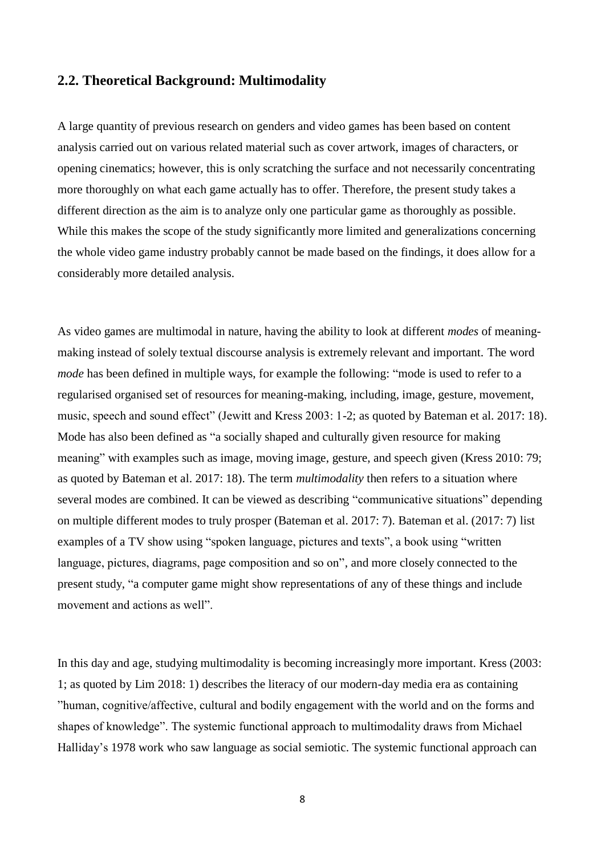#### <span id="page-7-0"></span>**2.2. Theoretical Background: Multimodality**

A large quantity of previous research on genders and video games has been based on content analysis carried out on various related material such as cover artwork, images of characters, or opening cinematics; however, this is only scratching the surface and not necessarily concentrating more thoroughly on what each game actually has to offer. Therefore, the present study takes a different direction as the aim is to analyze only one particular game as thoroughly as possible. While this makes the scope of the study significantly more limited and generalizations concerning the whole video game industry probably cannot be made based on the findings, it does allow for a considerably more detailed analysis.

As video games are multimodal in nature, having the ability to look at different *modes* of meaningmaking instead of solely textual discourse analysis is extremely relevant and important. The word *mode* has been defined in multiple ways, for example the following: "mode is used to refer to a regularised organised set of resources for meaning-making, including, image, gesture, movement, music, speech and sound effect" (Jewitt and Kress 2003: 1-2; as quoted by Bateman et al. 2017: 18). Mode has also been defined as "a socially shaped and culturally given resource for making meaning" with examples such as image, moving image, gesture, and speech given (Kress 2010: 79; as quoted by Bateman et al. 2017: 18). The term *multimodality* then refers to a situation where several modes are combined. It can be viewed as describing "communicative situations" depending on multiple different modes to truly prosper (Bateman et al. 2017: 7). Bateman et al. (2017: 7) list examples of a TV show using "spoken language, pictures and texts", a book using "written language, pictures, diagrams, page composition and so on", and more closely connected to the present study, "a computer game might show representations of any of these things and include movement and actions as well".

In this day and age, studying multimodality is becoming increasingly more important. Kress (2003: 1; as quoted by Lim 2018: 1) describes the literacy of our modern-day media era as containing "human, cognitive/affective, cultural and bodily engagement with the world and on the forms and shapes of knowledge". The systemic functional approach to multimodality draws from Michael Halliday's 1978 work who saw language as social semiotic. The systemic functional approach can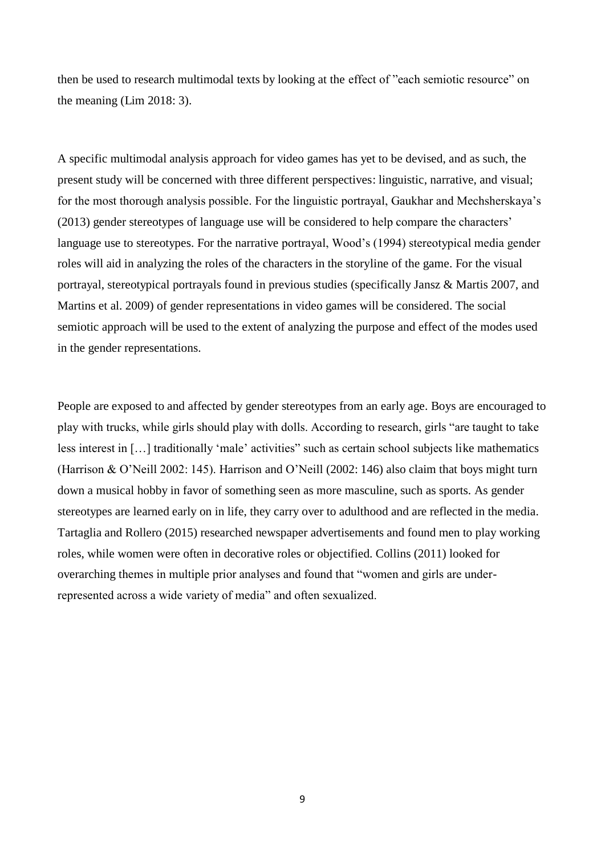then be used to research multimodal texts by looking at the effect of "each semiotic resource" on the meaning (Lim 2018: 3).

A specific multimodal analysis approach for video games has yet to be devised, and as such, the present study will be concerned with three different perspectives: linguistic, narrative, and visual; for the most thorough analysis possible. For the linguistic portrayal, Gaukhar and Mechsherskaya's (2013) gender stereotypes of language use will be considered to help compare the characters' language use to stereotypes. For the narrative portrayal, Wood's (1994) stereotypical media gender roles will aid in analyzing the roles of the characters in the storyline of the game. For the visual portrayal, stereotypical portrayals found in previous studies (specifically Jansz & Martis 2007, and Martins et al. 2009) of gender representations in video games will be considered. The social semiotic approach will be used to the extent of analyzing the purpose and effect of the modes used in the gender representations.

People are exposed to and affected by gender stereotypes from an early age. Boys are encouraged to play with trucks, while girls should play with dolls. According to research, girls "are taught to take less interest in […] traditionally 'male' activities" such as certain school subjects like mathematics (Harrison & O'Neill 2002: 145). Harrison and O'Neill (2002: 146) also claim that boys might turn down a musical hobby in favor of something seen as more masculine, such as sports. As gender stereotypes are learned early on in life, they carry over to adulthood and are reflected in the media. Tartaglia and Rollero (2015) researched newspaper advertisements and found men to play working roles, while women were often in decorative roles or objectified. Collins (2011) looked for overarching themes in multiple prior analyses and found that "women and girls are underrepresented across a wide variety of media" and often sexualized.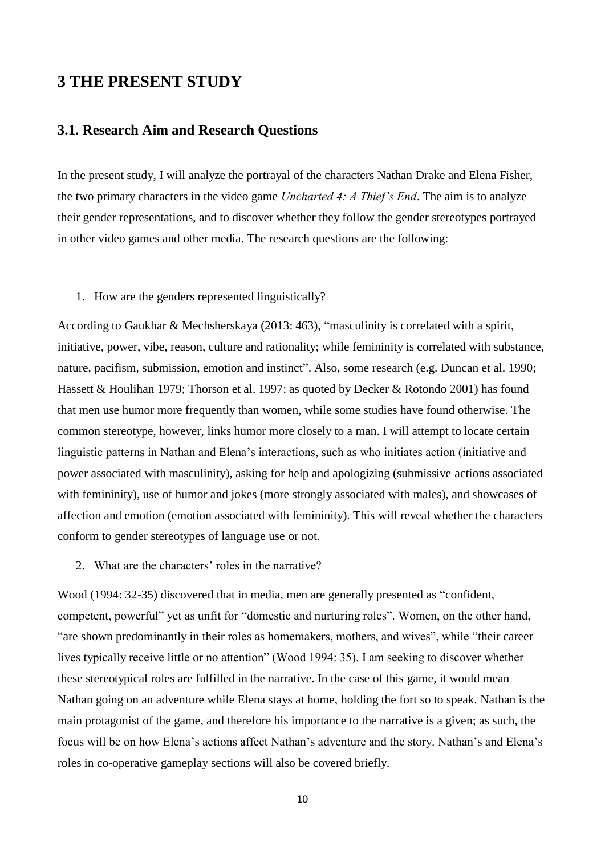## <span id="page-9-0"></span>**3 THE PRESENT STUDY**

### <span id="page-9-1"></span>**3.1. Research Aim and Research Questions**

In the present study, I will analyze the portrayal of the characters Nathan Drake and Elena Fisher, the two primary characters in the video game *Uncharted 4: A Thief's End*. The aim is to analyze their gender representations, and to discover whether they follow the gender stereotypes portrayed in other video games and other media. The research questions are the following:

#### 1. How are the genders represented linguistically?

According to Gaukhar & Mechsherskaya (2013: 463), "masculinity is correlated with a spirit, initiative, power, vibe, reason, culture and rationality; while femininity is correlated with substance, nature, pacifism, submission, emotion and instinct". Also, some research (e.g. Duncan et al. 1990; Hassett & Houlihan 1979; Thorson et al. 1997: as quoted by Decker & Rotondo 2001) has found that men use humor more frequently than women, while some studies have found otherwise. The common stereotype, however, links humor more closely to a man. I will attempt to locate certain linguistic patterns in Nathan and Elena's interactions, such as who initiates action (initiative and power associated with masculinity), asking for help and apologizing (submissive actions associated with femininity), use of humor and jokes (more strongly associated with males), and showcases of affection and emotion (emotion associated with femininity). This will reveal whether the characters conform to gender stereotypes of language use or not.

#### 2. What are the characters' roles in the narrative?

Wood (1994: 32-35) discovered that in media, men are generally presented as "confident, competent, powerful" yet as unfit for "domestic and nurturing roles". Women, on the other hand, "are shown predominantly in their roles as homemakers, mothers, and wives", while "their career lives typically receive little or no attention" (Wood 1994: 35). I am seeking to discover whether these stereotypical roles are fulfilled in the narrative. In the case of this game, it would mean Nathan going on an adventure while Elena stays at home, holding the fort so to speak. Nathan is the main protagonist of the game, and therefore his importance to the narrative is a given; as such, the focus will be on how Elena's actions affect Nathan's adventure and the story. Nathan's and Elena's roles in co-operative gameplay sections will also be covered briefly.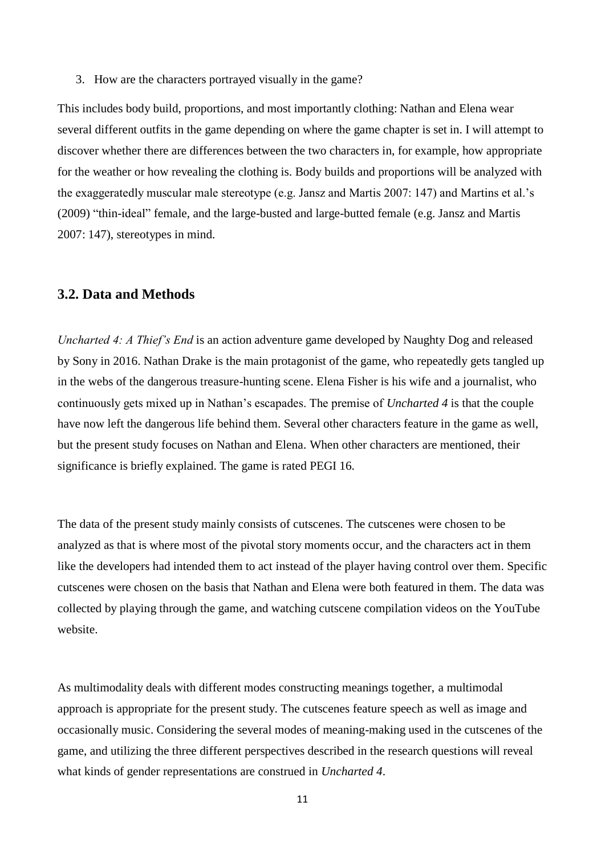3. How are the characters portrayed visually in the game?

This includes body build, proportions, and most importantly clothing: Nathan and Elena wear several different outfits in the game depending on where the game chapter is set in. I will attempt to discover whether there are differences between the two characters in, for example, how appropriate for the weather or how revealing the clothing is. Body builds and proportions will be analyzed with the exaggeratedly muscular male stereotype (e.g. Jansz and Martis 2007: 147) and Martins et al.'s (2009) "thin-ideal" female, and the large-busted and large-butted female (e.g. Jansz and Martis 2007: 147), stereotypes in mind.

#### <span id="page-10-0"></span>**3.2. Data and Methods**

*Uncharted 4: A Thief's End* is an action adventure game developed by Naughty Dog and released by Sony in 2016. Nathan Drake is the main protagonist of the game, who repeatedly gets tangled up in the webs of the dangerous treasure-hunting scene. Elena Fisher is his wife and a journalist, who continuously gets mixed up in Nathan's escapades. The premise of *Uncharted 4* is that the couple have now left the dangerous life behind them. Several other characters feature in the game as well, but the present study focuses on Nathan and Elena. When other characters are mentioned, their significance is briefly explained. The game is rated PEGI 16.

The data of the present study mainly consists of cutscenes. The cutscenes were chosen to be analyzed as that is where most of the pivotal story moments occur, and the characters act in them like the developers had intended them to act instead of the player having control over them. Specific cutscenes were chosen on the basis that Nathan and Elena were both featured in them. The data was collected by playing through the game, and watching cutscene compilation videos on the YouTube website.

As multimodality deals with different modes constructing meanings together, a multimodal approach is appropriate for the present study. The cutscenes feature speech as well as image and occasionally music. Considering the several modes of meaning-making used in the cutscenes of the game, and utilizing the three different perspectives described in the research questions will reveal what kinds of gender representations are construed in *Uncharted 4*.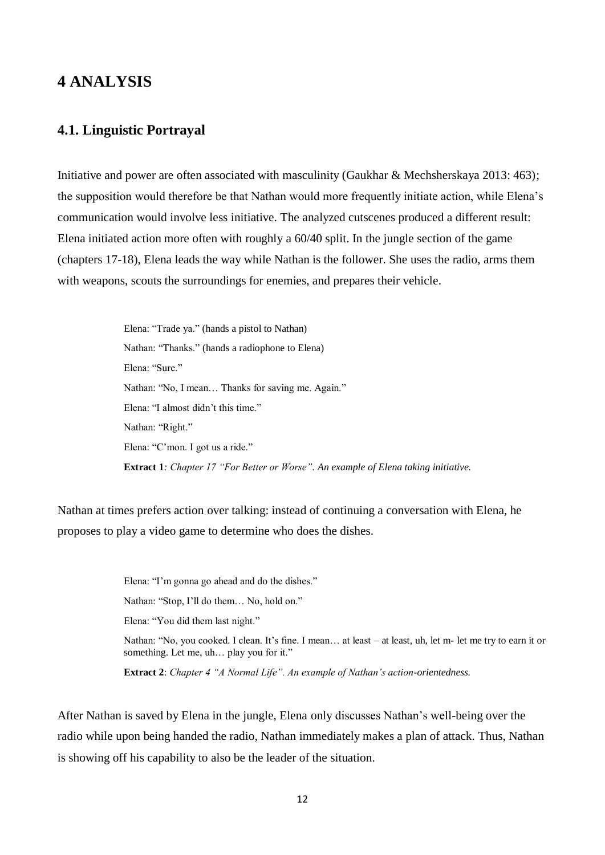## <span id="page-11-0"></span>**4 ANALYSIS**

### <span id="page-11-1"></span>**4.1. Linguistic Portrayal**

Initiative and power are often associated with masculinity (Gaukhar & Mechsherskaya 2013: 463); the supposition would therefore be that Nathan would more frequently initiate action, while Elena's communication would involve less initiative. The analyzed cutscenes produced a different result: Elena initiated action more often with roughly a 60/40 split. In the jungle section of the game (chapters 17-18), Elena leads the way while Nathan is the follower. She uses the radio, arms them with weapons, scouts the surroundings for enemies, and prepares their vehicle.

> Elena: "Trade ya." (hands a pistol to Nathan) Nathan: "Thanks." (hands a radiophone to Elena) Elena: "Sure." Nathan: "No, I mean… Thanks for saving me. Again." Elena: "I almost didn't this time." Nathan: "Right." Elena: "C'mon. I got us a ride." **Extract 1***: Chapter 17 "For Better or Worse". An example of Elena taking initiative.*

Nathan at times prefers action over talking: instead of continuing a conversation with Elena, he proposes to play a video game to determine who does the dishes.

> Elena: "I'm gonna go ahead and do the dishes." Nathan: "Stop, I'll do them… No, hold on." Elena: "You did them last night." Nathan: "No, you cooked. I clean. It's fine. I mean… at least – at least, uh, let m- let me try to earn it or something. Let me, uh… play you for it."

**Extract 2**: *Chapter 4 "A Normal Life". An example of Nathan's action-orientedness.*

After Nathan is saved by Elena in the jungle, Elena only discusses Nathan's well-being over the radio while upon being handed the radio, Nathan immediately makes a plan of attack. Thus, Nathan is showing off his capability to also be the leader of the situation.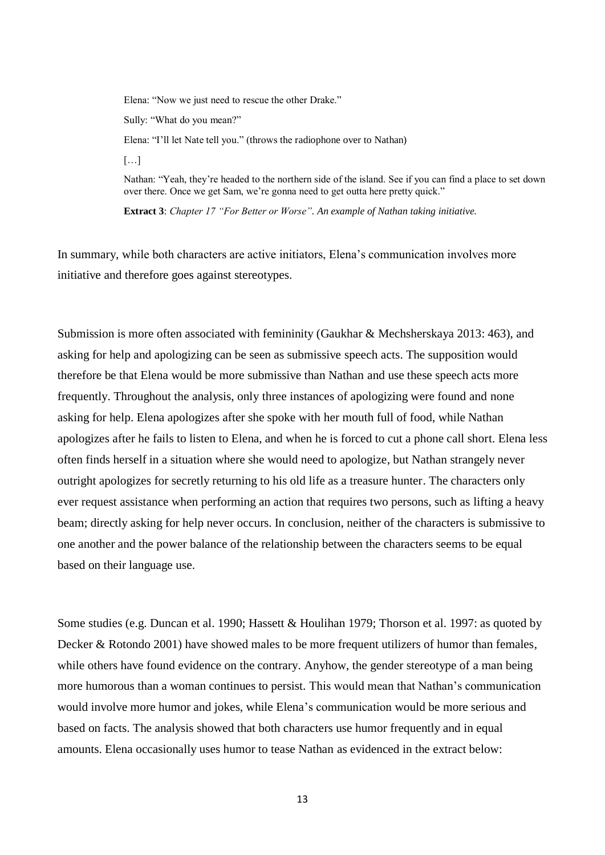Elena: "Now we just need to rescue the other Drake." Sully: "What do you mean?"

Elena: "I'll let Nate tell you." (throws the radiophone over to Nathan)

[…]

Nathan: "Yeah, they're headed to the northern side of the island. See if you can find a place to set down over there. Once we get Sam, we're gonna need to get outta here pretty quick."

**Extract 3**: *Chapter 17 "For Better or Worse". An example of Nathan taking initiative.*

In summary, while both characters are active initiators, Elena's communication involves more initiative and therefore goes against stereotypes.

Submission is more often associated with femininity (Gaukhar & Mechsherskaya 2013: 463), and asking for help and apologizing can be seen as submissive speech acts. The supposition would therefore be that Elena would be more submissive than Nathan and use these speech acts more frequently. Throughout the analysis, only three instances of apologizing were found and none asking for help. Elena apologizes after she spoke with her mouth full of food, while Nathan apologizes after he fails to listen to Elena, and when he is forced to cut a phone call short. Elena less often finds herself in a situation where she would need to apologize, but Nathan strangely never outright apologizes for secretly returning to his old life as a treasure hunter. The characters only ever request assistance when performing an action that requires two persons, such as lifting a heavy beam; directly asking for help never occurs. In conclusion, neither of the characters is submissive to one another and the power balance of the relationship between the characters seems to be equal based on their language use.

Some studies (e.g. Duncan et al. 1990; Hassett & Houlihan 1979; Thorson et al. 1997: as quoted by Decker & Rotondo 2001) have showed males to be more frequent utilizers of humor than females, while others have found evidence on the contrary. Anyhow, the gender stereotype of a man being more humorous than a woman continues to persist. This would mean that Nathan's communication would involve more humor and jokes, while Elena's communication would be more serious and based on facts. The analysis showed that both characters use humor frequently and in equal amounts. Elena occasionally uses humor to tease Nathan as evidenced in the extract below: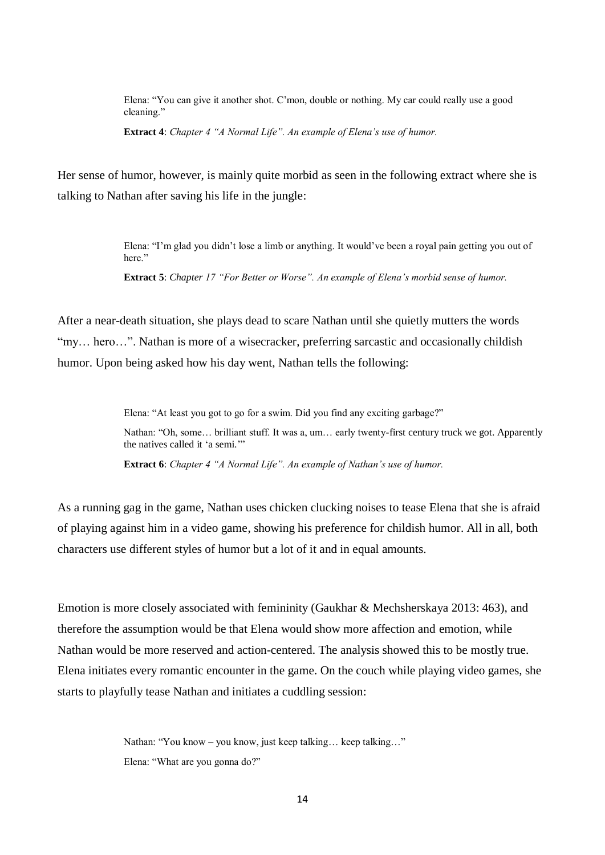Elena: "You can give it another shot. C'mon, double or nothing. My car could really use a good cleaning."

**Extract 4**: *Chapter 4 "A Normal Life". An example of Elena's use of humor.*

Her sense of humor, however, is mainly quite morbid as seen in the following extract where she is talking to Nathan after saving his life in the jungle:

> Elena: "I'm glad you didn't lose a limb or anything. It would've been a royal pain getting you out of here."

**Extract 5**: *Chapter 17 "For Better or Worse". An example of Elena's morbid sense of humor.*

After a near-death situation, she plays dead to scare Nathan until she quietly mutters the words "my… hero…". Nathan is more of a wisecracker, preferring sarcastic and occasionally childish humor. Upon being asked how his day went, Nathan tells the following:

> Elena: "At least you got to go for a swim. Did you find any exciting garbage?" Nathan: "Oh, some… brilliant stuff. It was a, um… early twenty-first century truck we got. Apparently the natives called it 'a semi.'"

**Extract 6**: *Chapter 4 "A Normal Life". An example of Nathan's use of humor.*

As a running gag in the game, Nathan uses chicken clucking noises to tease Elena that she is afraid of playing against him in a video game, showing his preference for childish humor. All in all, both characters use different styles of humor but a lot of it and in equal amounts.

Emotion is more closely associated with femininity (Gaukhar & Mechsherskaya 2013: 463), and therefore the assumption would be that Elena would show more affection and emotion, while Nathan would be more reserved and action-centered. The analysis showed this to be mostly true. Elena initiates every romantic encounter in the game. On the couch while playing video games, she starts to playfully tease Nathan and initiates a cuddling session:

> Nathan: "You know – you know, just keep talking… keep talking…" Elena: "What are you gonna do?"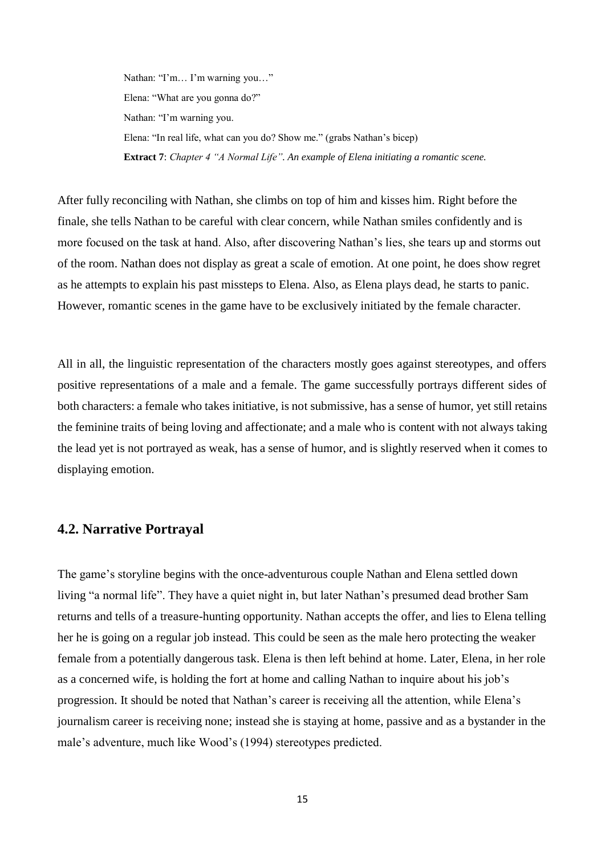Nathan: "I'm… I'm warning you…" Elena: "What are you gonna do?" Nathan: "I'm warning you. Elena: "In real life, what can you do? Show me." (grabs Nathan's bicep) **Extract 7**: *Chapter 4 "A Normal Life". An example of Elena initiating a romantic scene.*

After fully reconciling with Nathan, she climbs on top of him and kisses him. Right before the finale, she tells Nathan to be careful with clear concern, while Nathan smiles confidently and is more focused on the task at hand. Also, after discovering Nathan's lies, she tears up and storms out of the room. Nathan does not display as great a scale of emotion. At one point, he does show regret as he attempts to explain his past missteps to Elena. Also, as Elena plays dead, he starts to panic. However, romantic scenes in the game have to be exclusively initiated by the female character.

All in all, the linguistic representation of the characters mostly goes against stereotypes, and offers positive representations of a male and a female. The game successfully portrays different sides of both characters: a female who takes initiative, is not submissive, has a sense of humor, yet still retains the feminine traits of being loving and affectionate; and a male who is content with not always taking the lead yet is not portrayed as weak, has a sense of humor, and is slightly reserved when it comes to displaying emotion.

### <span id="page-14-0"></span>**4.2. Narrative Portrayal**

The game's storyline begins with the once-adventurous couple Nathan and Elena settled down living "a normal life". They have a quiet night in, but later Nathan's presumed dead brother Sam returns and tells of a treasure-hunting opportunity. Nathan accepts the offer, and lies to Elena telling her he is going on a regular job instead. This could be seen as the male hero protecting the weaker female from a potentially dangerous task. Elena is then left behind at home. Later, Elena, in her role as a concerned wife, is holding the fort at home and calling Nathan to inquire about his job's progression. It should be noted that Nathan's career is receiving all the attention, while Elena's journalism career is receiving none; instead she is staying at home, passive and as a bystander in the male's adventure, much like Wood's (1994) stereotypes predicted.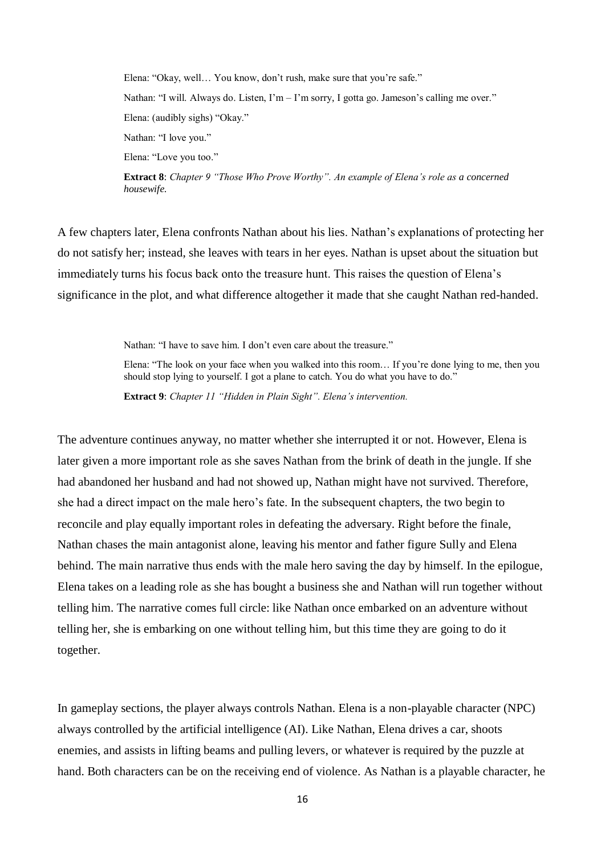Elena: "Okay, well… You know, don't rush, make sure that you're safe." Nathan: "I will. Always do. Listen, I'm – I'm sorry, I gotta go. Jameson's calling me over." Elena: (audibly sighs) "Okay." Nathan: "I love you." Elena: "Love you too."

**Extract 8**: *Chapter 9 "Those Who Prove Worthy". An example of Elena's role as a concerned housewife.*

A few chapters later, Elena confronts Nathan about his lies. Nathan's explanations of protecting her do not satisfy her; instead, she leaves with tears in her eyes. Nathan is upset about the situation but immediately turns his focus back onto the treasure hunt. This raises the question of Elena's significance in the plot, and what difference altogether it made that she caught Nathan red-handed.

Nathan: "I have to save him. I don't even care about the treasure."

Elena: "The look on your face when you walked into this room… If you're done lying to me, then you should stop lying to yourself. I got a plane to catch. You do what you have to do."

**Extract 9**: *Chapter 11 "Hidden in Plain Sight". Elena's intervention.*

The adventure continues anyway, no matter whether she interrupted it or not. However, Elena is later given a more important role as she saves Nathan from the brink of death in the jungle. If she had abandoned her husband and had not showed up, Nathan might have not survived. Therefore, she had a direct impact on the male hero's fate. In the subsequent chapters, the two begin to reconcile and play equally important roles in defeating the adversary. Right before the finale, Nathan chases the main antagonist alone, leaving his mentor and father figure Sully and Elena behind. The main narrative thus ends with the male hero saving the day by himself. In the epilogue, Elena takes on a leading role as she has bought a business she and Nathan will run together without telling him. The narrative comes full circle: like Nathan once embarked on an adventure without telling her, she is embarking on one without telling him, but this time they are going to do it together.

In gameplay sections, the player always controls Nathan. Elena is a non-playable character (NPC) always controlled by the artificial intelligence (AI). Like Nathan, Elena drives a car, shoots enemies, and assists in lifting beams and pulling levers, or whatever is required by the puzzle at hand. Both characters can be on the receiving end of violence. As Nathan is a playable character, he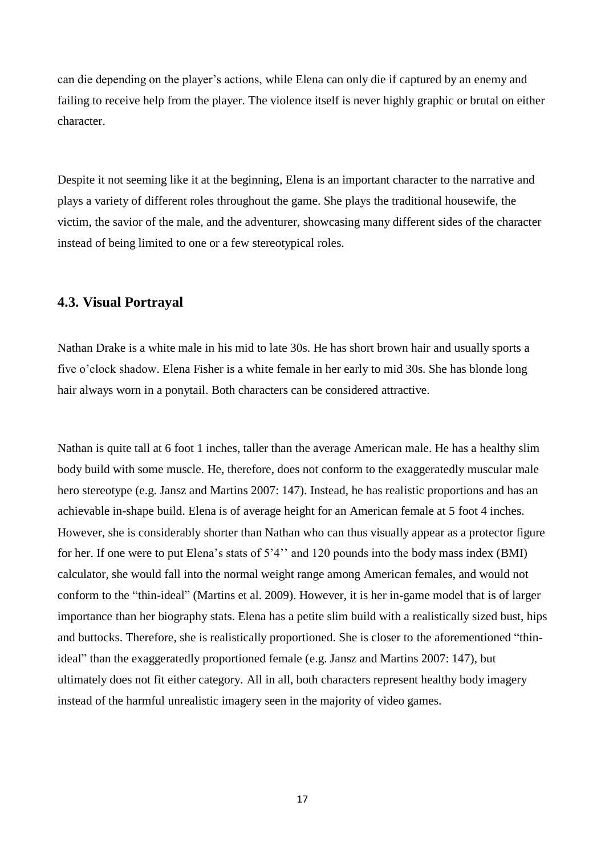can die depending on the player's actions, while Elena can only die if captured by an enemy and failing to receive help from the player. The violence itself is never highly graphic or brutal on either character.

Despite it not seeming like it at the beginning, Elena is an important character to the narrative and plays a variety of different roles throughout the game. She plays the traditional housewife, the victim, the savior of the male, and the adventurer, showcasing many different sides of the character instead of being limited to one or a few stereotypical roles.

#### <span id="page-16-0"></span>**4.3. Visual Portrayal**

Nathan Drake is a white male in his mid to late 30s. He has short brown hair and usually sports a five o'clock shadow. Elena Fisher is a white female in her early to mid 30s. She has blonde long hair always worn in a ponytail. Both characters can be considered attractive.

Nathan is quite tall at 6 foot 1 inches, taller than the average American male. He has a healthy slim body build with some muscle. He, therefore, does not conform to the exaggeratedly muscular male hero stereotype (e.g. Jansz and Martins 2007: 147). Instead, he has realistic proportions and has an achievable in-shape build. Elena is of average height for an American female at 5 foot 4 inches. However, she is considerably shorter than Nathan who can thus visually appear as a protector figure for her. If one were to put Elena's stats of 5'4'' and 120 pounds into the body mass index (BMI) calculator, she would fall into the normal weight range among American females, and would not conform to the "thin-ideal" (Martins et al. 2009). However, it is her in-game model that is of larger importance than her biography stats. Elena has a petite slim build with a realistically sized bust, hips and buttocks. Therefore, she is realistically proportioned. She is closer to the aforementioned "thinideal" than the exaggeratedly proportioned female (e.g. Jansz and Martins 2007: 147), but ultimately does not fit either category. All in all, both characters represent healthy body imagery instead of the harmful unrealistic imagery seen in the majority of video games.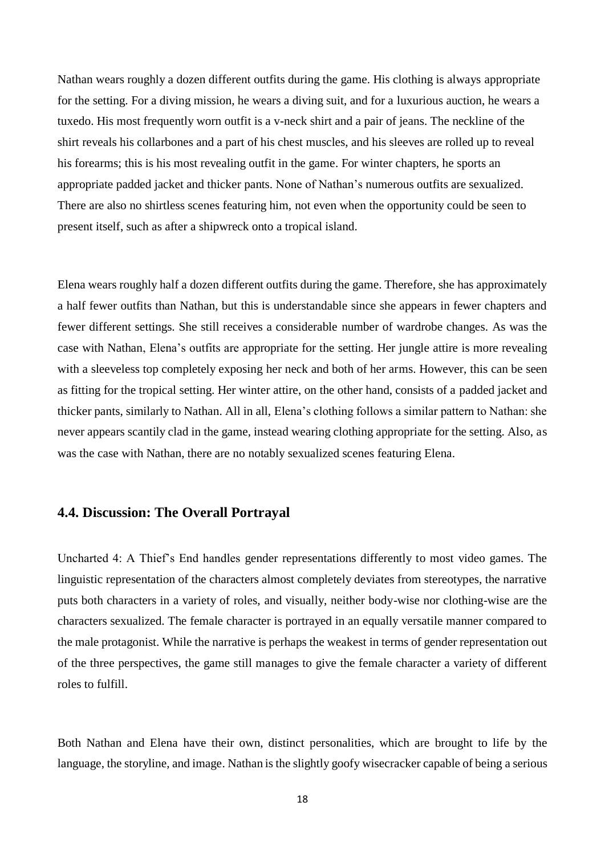Nathan wears roughly a dozen different outfits during the game. His clothing is always appropriate for the setting. For a diving mission, he wears a diving suit, and for a luxurious auction, he wears a tuxedo. His most frequently worn outfit is a v-neck shirt and a pair of jeans. The neckline of the shirt reveals his collarbones and a part of his chest muscles, and his sleeves are rolled up to reveal his forearms; this is his most revealing outfit in the game. For winter chapters, he sports an appropriate padded jacket and thicker pants. None of Nathan's numerous outfits are sexualized. There are also no shirtless scenes featuring him, not even when the opportunity could be seen to present itself, such as after a shipwreck onto a tropical island.

Elena wears roughly half a dozen different outfits during the game. Therefore, she has approximately a half fewer outfits than Nathan, but this is understandable since she appears in fewer chapters and fewer different settings. She still receives a considerable number of wardrobe changes. As was the case with Nathan, Elena's outfits are appropriate for the setting. Her jungle attire is more revealing with a sleeveless top completely exposing her neck and both of her arms. However, this can be seen as fitting for the tropical setting. Her winter attire, on the other hand, consists of a padded jacket and thicker pants, similarly to Nathan. All in all, Elena's clothing follows a similar pattern to Nathan: she never appears scantily clad in the game, instead wearing clothing appropriate for the setting. Also, as was the case with Nathan, there are no notably sexualized scenes featuring Elena.

#### <span id="page-17-0"></span>**4.4. Discussion: The Overall Portrayal**

Uncharted 4: A Thief's End handles gender representations differently to most video games. The linguistic representation of the characters almost completely deviates from stereotypes, the narrative puts both characters in a variety of roles, and visually, neither body-wise nor clothing-wise are the characters sexualized. The female character is portrayed in an equally versatile manner compared to the male protagonist. While the narrative is perhaps the weakest in terms of gender representation out of the three perspectives, the game still manages to give the female character a variety of different roles to fulfill.

Both Nathan and Elena have their own, distinct personalities, which are brought to life by the language, the storyline, and image. Nathan is the slightly goofy wisecracker capable of being a serious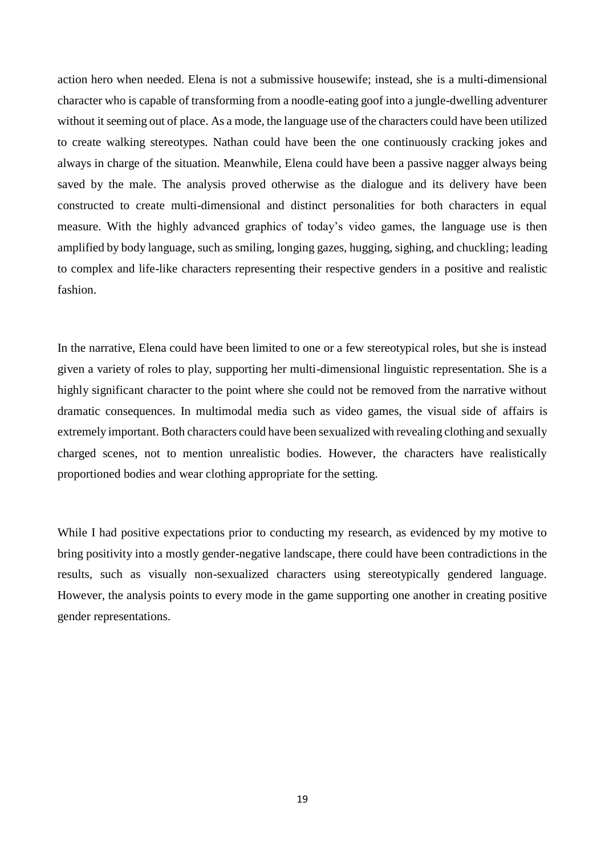action hero when needed. Elena is not a submissive housewife; instead, she is a multi-dimensional character who is capable of transforming from a noodle-eating goof into a jungle-dwelling adventurer without it seeming out of place. As a mode, the language use of the characters could have been utilized to create walking stereotypes. Nathan could have been the one continuously cracking jokes and always in charge of the situation. Meanwhile, Elena could have been a passive nagger always being saved by the male. The analysis proved otherwise as the dialogue and its delivery have been constructed to create multi-dimensional and distinct personalities for both characters in equal measure. With the highly advanced graphics of today's video games, the language use is then amplified by body language, such as smiling, longing gazes, hugging, sighing, and chuckling; leading to complex and life-like characters representing their respective genders in a positive and realistic fashion.

In the narrative, Elena could have been limited to one or a few stereotypical roles, but she is instead given a variety of roles to play, supporting her multi-dimensional linguistic representation. She is a highly significant character to the point where she could not be removed from the narrative without dramatic consequences. In multimodal media such as video games, the visual side of affairs is extremely important. Both characters could have been sexualized with revealing clothing and sexually charged scenes, not to mention unrealistic bodies. However, the characters have realistically proportioned bodies and wear clothing appropriate for the setting.

<span id="page-18-0"></span>While I had positive expectations prior to conducting my research, as evidenced by my motive to bring positivity into a mostly gender-negative landscape, there could have been contradictions in the results, such as visually non-sexualized characters using stereotypically gendered language. However, the analysis points to every mode in the game supporting one another in creating positive gender representations.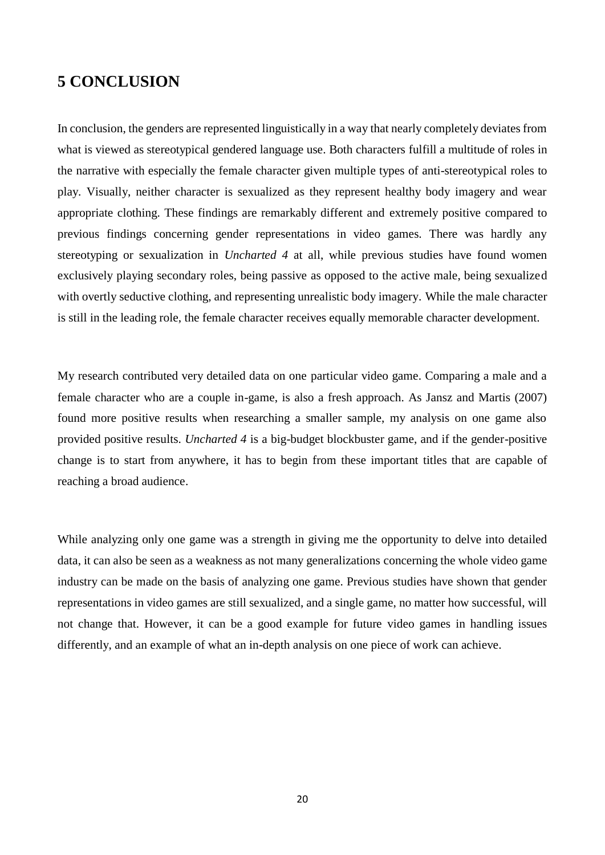# **5 CONCLUSION**

In conclusion, the genders are represented linguistically in a way that nearly completely deviates from what is viewed as stereotypical gendered language use. Both characters fulfill a multitude of roles in the narrative with especially the female character given multiple types of anti-stereotypical roles to play. Visually, neither character is sexualized as they represent healthy body imagery and wear appropriate clothing. These findings are remarkably different and extremely positive compared to previous findings concerning gender representations in video games. There was hardly any stereotyping or sexualization in *Uncharted 4* at all, while previous studies have found women exclusively playing secondary roles, being passive as opposed to the active male, being sexualized with overtly seductive clothing, and representing unrealistic body imagery. While the male character is still in the leading role, the female character receives equally memorable character development.

My research contributed very detailed data on one particular video game. Comparing a male and a female character who are a couple in-game, is also a fresh approach. As Jansz and Martis (2007) found more positive results when researching a smaller sample, my analysis on one game also provided positive results. *Uncharted 4* is a big-budget blockbuster game, and if the gender-positive change is to start from anywhere, it has to begin from these important titles that are capable of reaching a broad audience.

While analyzing only one game was a strength in giving me the opportunity to delve into detailed data, it can also be seen as a weakness as not many generalizations concerning the whole video game industry can be made on the basis of analyzing one game. Previous studies have shown that gender representations in video games are still sexualized, and a single game, no matter how successful, will not change that. However, it can be a good example for future video games in handling issues differently, and an example of what an in-depth analysis on one piece of work can achieve.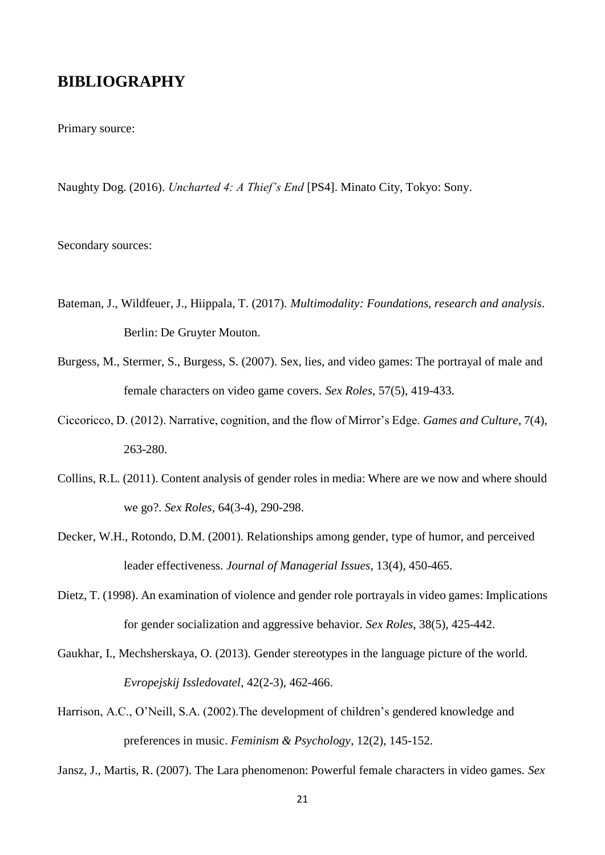## <span id="page-20-0"></span>**BIBLIOGRAPHY**

Primary source:

Naughty Dog. (2016). *Uncharted 4: A Thief's End* [PS4]. Minato City, Tokyo: Sony.

Secondary sources:

- Bateman, J., Wildfeuer, J., Hiippala, T. (2017). *Multimodality: Foundations, research and analysis*. Berlin: De Gruyter Mouton.
- Burgess, M., Stermer, S., Burgess, S. (2007). Sex, lies, and video games: The portrayal of male and female characters on video game covers. *Sex Roles*, 57(5), 419-433.
- Ciccoricco, D. (2012). Narrative, cognition, and the flow of Mirror's Edge. *Games and Culture*, 7(4), 263-280.
- Collins, R.L. (2011). Content analysis of gender roles in media: Where are we now and where should we go?. *Sex Roles*, 64(3-4), 290-298.
- Decker, W.H., Rotondo, D.M. (2001). Relationships among gender, type of humor, and perceived leader effectiveness. *Journal of Managerial Issues*, 13(4), 450-465.
- Dietz, T. (1998). An examination of violence and gender role portrayals in video games: Implications for gender socialization and aggressive behavior. *Sex Roles*, 38(5), 425-442.
- Gaukhar, I., Mechsherskaya, O. (2013). Gender stereotypes in the language picture of the world. *Evropejskij Issledovatel*, 42(2-3), 462-466.
- Harrison, A.C., O'Neill, S.A. (2002).The development of children's gendered knowledge and preferences in music. *Feminism & Psychology*, 12(2), 145-152.

Jansz, J., Martis, R. (2007). The Lara phenomenon: Powerful female characters in video games. *Sex*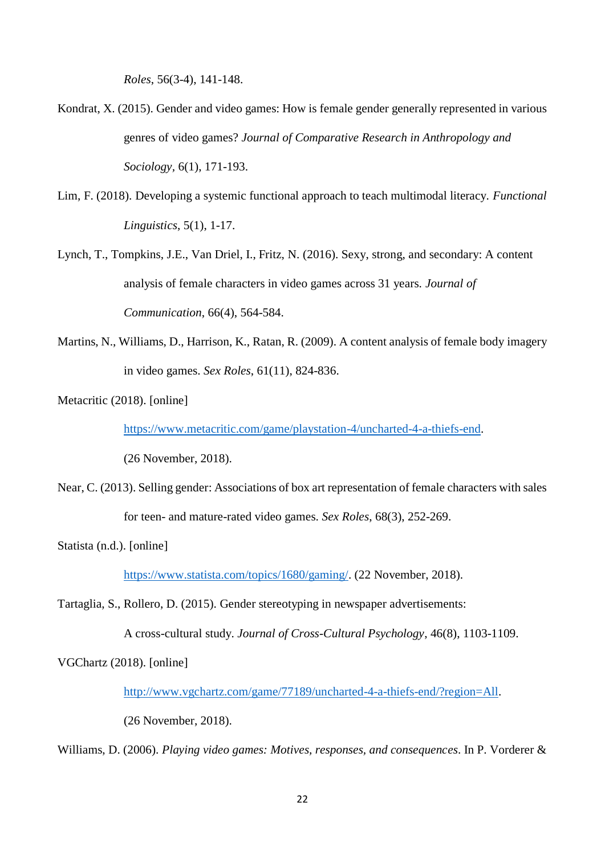*Roles*, 56(3-4), 141-148.

- Kondrat, X. (2015). Gender and video games: How is female gender generally represented in various genres of video games? *Journal of Comparative Research in Anthropology and Sociology,* 6(1), 171-193.
- Lim, F. (2018). Developing a systemic functional approach to teach multimodal literacy. *Functional Linguistics*, 5(1), 1-17.
- Lynch, T., Tompkins, J.E., Van Driel, I., Fritz, N. (2016). Sexy, strong, and secondary: A content analysis of female characters in video games across 31 years. *Journal of Communication*, 66(4), 564-584.
- Martins, N., Williams, D., Harrison, K., Ratan, R. (2009). A content analysis of female body imagery in video games. *Sex Roles*, 61(11), 824-836.

Metacritic (2018). [online]

[https://www.metacritic.com/game/playstation-4/uncharted-4-a-thiefs-end.](https://www.metacritic.com/game/playstation-4/uncharted-4-a-thiefs-end)

(26 November, 2018).

Near, C. (2013). Selling gender: Associations of box art representation of female characters with sales for teen- and mature-rated video games. *Sex Roles*, 68(3), 252-269.

Statista (n.d.). [online]

[https://www.statista.com/topics/1680/gaming/.](https://www.statista.com/topics/1680/gaming/) (22 November, 2018).

Tartaglia, S., Rollero, D. (2015). Gender stereotyping in newspaper advertisements:

A cross-cultural study. *Journal of Cross-Cultural Psychology*, 46(8), 1103-1109.

VGChartz (2018). [online]

[http://www.vgchartz.com/game/77189/uncharted-4-a-thiefs-end/?region=All.](http://www.vgchartz.com/game/77189/uncharted-4-a-thiefs-end/?region=All)

(26 November, 2018).

Williams, D. (2006). *Playing video games: Motives, responses, and consequences*. In P. Vorderer &